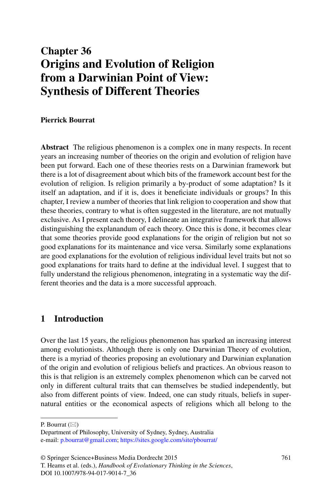# **Chapter 36 Origins and Evolution of Religion from a Darwinian Point of View: Synthesis of Different Theories**

### **Pierrick Bourrat**

 **Abstract** The religious phenomenon is a complex one in many respects. In recent years an increasing number of theories on the origin and evolution of religion have been put forward. Each one of these theories rests on a Darwinian framework but there is a lot of disagreement about which bits of the framework account best for the evolution of religion. Is religion primarily a by-product of some adaptation? Is it itself an adaptation, and if it is, does it beneficiate individuals or groups? In this chapter, I review a number of theories that link religion to cooperation and show that these theories, contrary to what is often suggested in the literature, are not mutually exclusive. As I present each theory, I delineate an integrative framework that allows distinguishing the explanandum of each theory. Once this is done, it becomes clear that some theories provide good explanations for the origin of religion but not so good explanations for its maintenance and vice versa. Similarly some explanations are good explanations for the evolution of religious individual level traits but not so good explanations for traits hard to define at the individual level. I suggest that to fully understand the religious phenomenon, integrating in a systematic way the different theories and the data is a more successful approach.

# **1 Introduction**

 Over the last 15 years, the religious phenomenon has sparked an increasing interest among evolutionists. Although there is only one Darwinian Theory of evolution, there is a myriad of theories proposing an evolutionary and Darwinian explanation of the origin and evolution of religious beliefs and practices. An obvious reason to this is that religion is an extremely complex phenomenon which can be carved not only in different cultural traits that can themselves be studied independently, but also from different points of view. Indeed, one can study rituals, beliefs in supernatural entities or the economical aspects of religions which all belong to the

P. Bourrat  $(\boxtimes)$ 

Department of Philosophy, University of Sydney, Sydney, Australia e-mail: p.bourrat@gmail.com; https://sites.google.com/site/pbourrat/

<sup>©</sup> Springer Science+Business Media Dordrecht 2015 761

T. Heams et al. (eds.), *Handbook of Evolutionary Thinking in the Sciences*, DOI 10.1007/978-94-017-9014-7\_36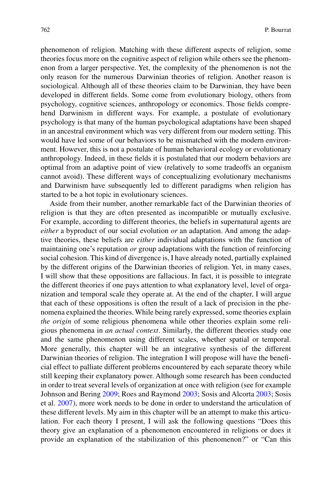phenomenon of religion. Matching with these different aspects of religion, some theories focus more on the cognitive aspect of religion while others see the phenomenon from a larger perspective. Yet, the complexity of the phenomenon is not the only reason for the numerous Darwinian theories of religion. Another reason is sociological. Although all of these theories claim to be Darwinian, they have been developed in different fields. Some come from evolutionary biology, others from psychology, cognitive sciences, anthropology or economics. Those fields comprehend Darwinism in different ways. For example, a postulate of evolutionary psychology is that many of the human psychological adaptations have been shaped in an ancestral environment which was very different from our modern setting. This would have led some of our behaviors to be mismatched with the modern environment. However, this is not a postulate of human behavioral ecology or evolutionary anthropology. Indeed, in these fields it is postulated that our modern behaviors are optimal from an adaptive point of view (relatively to some tradeoffs an organism cannot avoid). These different ways of conceptualizing evolutionary mechanisms and Darwinism have subsequently led to different paradigms when religion has started to be a hot topic in evolutionary sciences.

 Aside from their number, another remarkable fact of the Darwinian theories of religion is that they are often presented as incompatible or mutually exclusive. For example, according to different theories, the beliefs in supernatural agents are *either* a byproduct of our social evolution *or* an adaptation. And among the adaptive theories, these beliefs are *either* individual adaptations with the function of maintaining one's reputation *or* group adaptations with the function of reinforcing social cohesion. This kind of divergence is, I have already noted, partially explained by the different origins of the Darwinian theories of religion. Yet, in many cases, I will show that these oppositions are fallacious. In fact, it is possible to integrate the different theories if one pays attention to what explanatory level, level of organization and temporal scale they operate at. At the end of the chapter, I will argue that each of these oppositions is often the result of a lack of precision in the phenomena explained the theories. While being rarely expressed, some theories explain *the origin* of some religious phenomena while other theories explain some religious phenomena in *an actual context* . Similarly, the different theories study one and the same phenomenon using different scales, whether spatial or temporal. More generally, this chapter will be an integrative synthesis of the different Darwinian theories of religion. The integration I will propose will have the beneficial effect to palliate different problems encountered by each separate theory while still keeping their explanatory power. Although some research has been conducted in order to treat several levels of organization at once with religion (see for example Johnson and Bering 2009; Roes and Raymond 2003; Sosis and Alcorta 2003; Sosis et al. 2007 ), more work needs to be done in order to understand the articulation of these different levels. My aim in this chapter will be an attempt to make this articulation. For each theory I present, I will ask the following questions "Does this theory give an explanation of a phenomenon encountered in religions or does it provide an explanation of the stabilization of this phenomenon?" or "Can this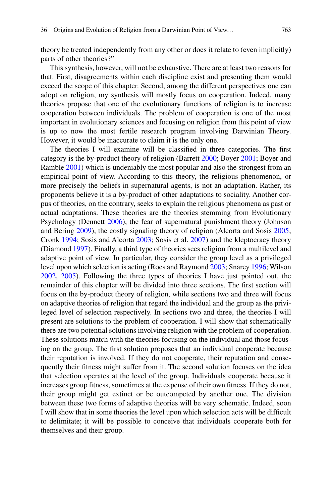theory be treated independently from any other or does it relate to (even implicitly) parts of other theories?"

 This synthesis, however, will not be exhaustive. There are at least two reasons for that. First, disagreements within each discipline exist and presenting them would exceed the scope of this chapter. Second, among the different perspectives one can adopt on religion, my synthesis will mostly focus on cooperation. Indeed, many theories propose that one of the evolutionary functions of religion is to increase cooperation between individuals. The problem of cooperation is one of the most important in evolutionary sciences and focusing on religion from this point of view is up to now the most fertile research program involving Darwinian Theory. However, it would be inaccurate to claim it is the only one.

The theories I will examine will be classified in three categories. The first category is the by-product theory of religion (Barrett 2000; Boyer 2001; Boyer and Ramble 2001) which is undeniably the most popular and also the strongest from an empirical point of view. According to this theory, the religious phenomenon, or more precisely the beliefs in supernatural agents, is not an adaptation. Rather, its proponents believe it is a by-product of other adaptations to sociality. Another corpus of theories, on the contrary, seeks to explain the religious phenomena as past or actual adaptations. These theories are the theories stemming from Evolutionary Psychology (Dennett 2006), the fear of supernatural punishment theory (Johnson and Bering 2009), the costly signaling theory of religion (Alcorta and Sosis 2005; Cronk 1994; Sosis and Alcorta 2003; Sosis et al. 2007) and the kleptocracy theory (Diamond 1997). Finally, a third type of theories sees religion from a multilevel and adaptive point of view. In particular, they consider the group level as a privileged level upon which selection is acting (Roes and Raymond 2003; Snarey 1996; Wilson  $2002$ ,  $2005$ ). Following the three types of theories I have just pointed out, the remainder of this chapter will be divided into three sections. The first section will focus on the by- product theory of religion, while sections two and three will focus on adaptive theories of religion that regard the individual and the group as the privileged level of selection respectively. In sections two and three, the theories I will present are solutions to the problem of cooperation. I will show that schematically there are two potential solutions involving religion with the problem of cooperation. These solutions match with the theories focusing on the individual and those focusing on the group. The first solution proposes that an individual cooperate because their reputation is involved. If they do not cooperate, their reputation and consequently their fitness might suffer from it. The second solution focuses on the idea that selection operates at the level of the group. Individuals cooperate because it increases group fitness, sometimes at the expense of their own fitness. If they do not, their group might get extinct or be outcompeted by another one. The division between these two forms of adaptive theories will be very schematic. Indeed, soon I will show that in some theories the level upon which selection acts will be difficult to delimitate; it will be possible to conceive that individuals cooperate both for themselves and their group.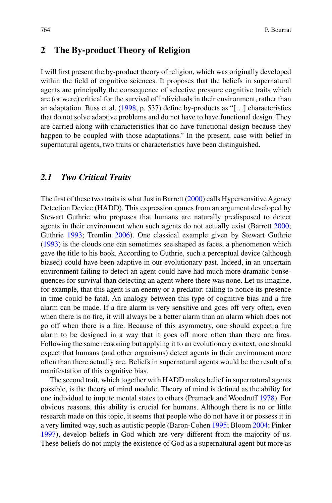# **2 The By-product Theory of Religion**

I will first present the by-product theory of religion, which was originally developed within the field of cognitive sciences. It proposes that the beliefs in supernatural agents are principally the consequence of selective pressure cognitive traits which are (or were) critical for the survival of individuals in their environment, rather than an adaptation. Buss et al.  $(1998, p. 537)$  define by-products as "[...] characteristics that do not solve adaptive problems and do not have to have functional design. They are carried along with characteristics that do have functional design because they happen to be coupled with those adaptations." In the present, case with belief in supernatural agents, two traits or characteristics have been distinguished.

### *2.1 Two Critical Traits*

The first of these two traits is what Justin Barrett  $(2000)$  calls Hypersensitive Agency Detection Device (HADD). This expression comes from an argument developed by Stewart Guthrie who proposes that humans are naturally predisposed to detect agents in their environment when such agents do not actually exist (Barrett 2000; Guthrie 1993; Tremlin 2006). One classical example given by Stewart Guthrie ( 1993 ) is the clouds one can sometimes see shaped as faces, a phenomenon which gave the title to his book. According to Guthrie, such a perceptual device (although biased) could have been adaptive in our evolutionary past. Indeed, in an uncertain environment failing to detect an agent could have had much more dramatic consequences for survival than detecting an agent where there was none. Let us imagine, for example, that this agent is an enemy or a predator: failing to notice its presence in time could be fatal. An analogy between this type of cognitive bias and a fire alarm can be made. If a fire alarm is very sensitive and goes off very often, even when there is no fire, it will always be a better alarm than an alarm which does not go off when there is a fire. Because of this asymmetry, one should expect a fire alarm to be designed in a way that it goes off more often than there are fires. Following the same reasoning but applying it to an evolutionary context, one should expect that humans (and other organisms) detect agents in their environment more often than there actually are. Beliefs in supernatural agents would be the result of a manifestation of this cognitive bias.

 The second trait, which together with HADD makes belief in supernatural agents possible, is the theory of mind module. Theory of mind is defined as the ability for one individual to impute mental states to others (Premack and Woodruff 1978 ). For obvious reasons, this ability is crucial for humans. Although there is no or little research made on this topic, it seems that people who do not have it or possess it in a very limited way, such as autistic people (Baron-Cohen 1995; Bloom 2004; Pinker 1997), develop beliefs in God which are very different from the majority of us. These beliefs do not imply the existence of God as a supernatural agent but more as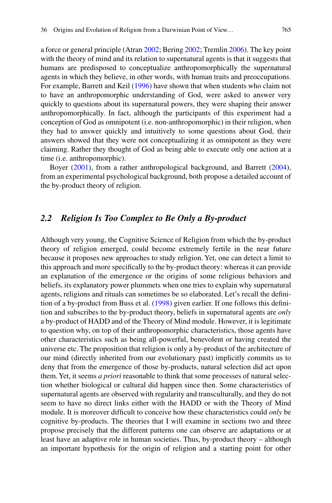a force or general principle (Atran 2002; Bering 2002; Tremlin 2006). The key point with the theory of mind and its relation to supernatural agents is that it suggests that humans are predisposed to conceptualize anthropomorphically the supernatural agents in which they believe, in other words, with human traits and preoccupations. For example, Barrett and Keil (1996) have shown that when students who claim not to have an anthropomorphic understanding of God, were asked to answer very quickly to questions about its supernatural powers, they were shaping their answer anthropomorphically. In fact, although the participants of this experiment had a conception of God as omnipotent (i.e. non-anthropomorphic) in their religion, when they had to answer quickly and intuitively to some questions about God, their answers showed that they were not conceptualizing it as omnipotent as they were claiming. Rather they thought of God as being able to execute only one action at a time (i.e. anthropomorphic).

Boyer (2001), from a rather anthropological background, and Barrett (2004), from an experimental psychological background, both propose a detailed account of the by-product theory of religion.

# *2.2 Religion Is Too Complex to Be Only a By-product*

 Although very young, the Cognitive Science of Religion from which the by-product theory of religion emerged, could become extremely fertile in the near future because it proposes new approaches to study religion. Yet, one can detect a limit to this approach and more specifically to the by-product theory: whereas it can provide an explanation of the emergence or the origins of some religious behaviors and beliefs, its explanatory power plummets when one tries to explain why supernatural agents, religions and rituals can sometimes be so elaborated. Let's recall the definition of a by-product from Buss et al. (1998) given earlier. If one follows this definition and subscribes to the by-product theory, beliefs in supernatural agents are *only* a by-product of HADD and of the Theory of Mind module. However, it is legitimate to question why, on top of their anthropomorphic characteristics, those agents have other characteristics such as being all-powerful, benevolent or having created the universe etc. The proposition that religion is only a by-product of the architecture of our mind (directly inherited from our evolutionary past) implicitly commits us to deny that from the emergence of those by-products, natural selection did act upon them. Yet, it seems *a priori* reasonable to think that some processes of natural selection whether biological or cultural did happen since then. Some characteristics of supernatural agents are observed with regularity and transculturally, and they do not seem to have no direct links either with the HADD or with the Theory of Mind module. It is moreover difficult to conceive how these characteristics could *only* be cognitive by- products. The theories that I will examine in sections two and three propose precisely that the different patterns one can observe are adaptations or at least have an adaptive role in human societies. Thus, by-product theory – although an important hypothesis for the origin of religion and a starting point for other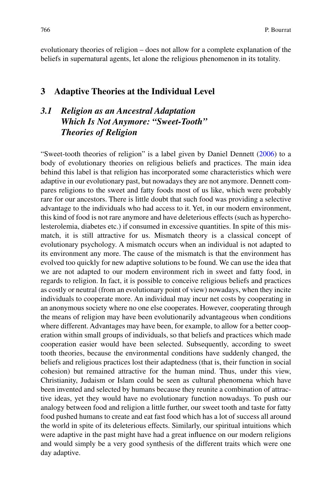evolutionary theories of religion – does not allow for a complete explanation of the beliefs in supernatural agents, let alone the religious phenomenon in its totality.

### **3 Adaptive Theories at the Individual Level**

# *3.1 Religion as an Ancestral Adaptation Which Is Not Anymore: "Sweet-Tooth" Theories of Religion*

"Sweet-tooth theories of religion" is a label given by Daniel Dennett  $(2006)$  to a body of evolutionary theories on religious beliefs and practices. The main idea behind this label is that religion has incorporated some characteristics which were adaptive in our evolutionary past, but nowadays they are not anymore. Dennett compares religions to the sweet and fatty foods most of us like, which were probably rare for our ancestors. There is little doubt that such food was providing a selective advantage to the individuals who had access to it. Yet, in our modern environment, this kind of food is not rare anymore and have deleterious effects (such as hypercholesterolemia, diabetes etc.) if consumed in excessive quantities. In spite of this mismatch, it is still attractive for us. Mismatch theory is a classical concept of evolutionary psychology. A mismatch occurs when an individual is not adapted to its environment any more. The cause of the mismatch is that the environment has evolved too quickly for new adaptive solutions to be found. We can use the idea that we are not adapted to our modern environment rich in sweet and fatty food, in regards to religion. In fact, it is possible to conceive religious beliefs and practices as costly or neutral (from an evolutionary point of view) nowadays, when they incite individuals to cooperate more. An individual may incur net costs by cooperating in an anonymous society where no one else cooperates. However, cooperating through the means of religion may have been evolutionarily advantageous when conditions where different. Advantages may have been, for example, to allow for a better cooperation within small groups of individuals, so that beliefs and practices which made cooperation easier would have been selected. Subsequently, according to sweet tooth theories, because the environmental conditions have suddenly changed, the beliefs and religious practices lost their adaptedness (that is, their function in social cohesion) but remained attractive for the human mind. Thus, under this view, Christianity, Judaism or Islam could be seen as cultural phenomena which have been invented and selected by humans because they reunite a combination of attractive ideas, yet they would have no evolutionary function nowadays. To push our analogy between food and religion a little further, our sweet tooth and taste for fatty food pushed humans to create and eat fast food which has a lot of success all around the world in spite of its deleterious effects. Similarly, our spiritual intuitions which were adaptive in the past might have had a great influence on our modern religions and would simply be a very good synthesis of the different traits which were one day adaptive.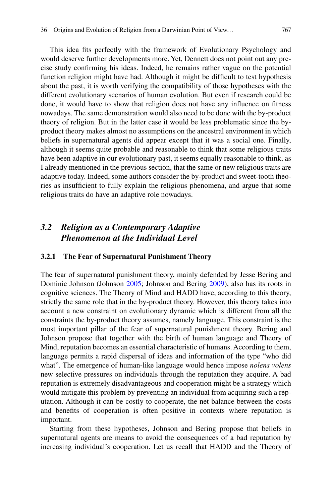This idea fits perfectly with the framework of Evolutionary Psychology and would deserve further developments more. Yet, Dennett does not point out any precise study confirming his ideas. Indeed, he remains rather vague on the potential function religion might have had. Although it might be difficult to test hypothesis about the past, it is worth verifying the compatibility of those hypotheses with the different evolutionary scenarios of human evolution. But even if research could be done, it would have to show that religion does not have any influence on fitness nowadays. The same demonstration would also need to be done with the by-product theory of religion. But in the latter case it would be less problematic since the byproduct theory makes almost no assumptions on the ancestral environment in which beliefs in supernatural agents did appear except that it was a social one. Finally, although it seems quite probable and reasonable to think that some religious traits have been adaptive in our evolutionary past, it seems equally reasonable to think, as I already mentioned in the previous section, that the same or new religious traits are adaptive today. Indeed, some authors consider the by-product and sweet-tooth theories as insufficient to fully explain the religious phenomena, and argue that some religious traits do have an adaptive role nowadays.

# *3.2 Religion as a Contemporary Adaptive Phenomenon at the Individual Level*

#### **3.2.1 The Fear of Supernatural Punishment Theory**

 The fear of supernatural punishment theory, mainly defended by Jesse Bering and Dominic Johnson (Johnson 2005; Johnson and Bering 2009), also has its roots in cognitive sciences. The Theory of Mind and HADD have, according to this theory, strictly the same role that in the by-product theory. However, this theory takes into account a new constraint on evolutionary dynamic which is different from all the constraints the by-product theory assumes, namely language. This constraint is the most important pillar of the fear of supernatural punishment theory. Bering and Johnson propose that together with the birth of human language and Theory of Mind, reputation becomes an essential characteristic of humans. According to them, language permits a rapid dispersal of ideas and information of the type "who did what". The emergence of human-like language would hence impose *nolens volens* new selective pressures on individuals through the reputation they acquire. A bad reputation is extremely disadvantageous and cooperation might be a strategy which would mitigate this problem by preventing an individual from acquiring such a reputation. Although it can be costly to cooperate, the net balance between the costs and benefits of cooperation is often positive in contexts where reputation is important.

 Starting from these hypotheses, Johnson and Bering propose that beliefs in supernatural agents are means to avoid the consequences of a bad reputation by increasing individual's cooperation. Let us recall that HADD and the Theory of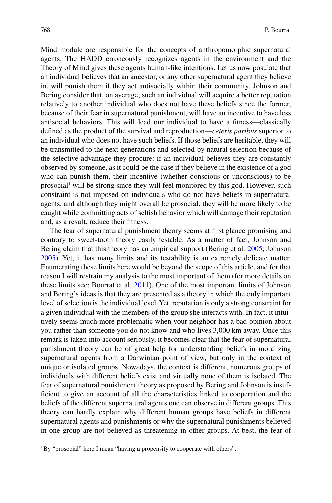Mind module are responsible for the concepts of anthropomorphic supernatural agents. The HADD erroneously recognizes agents in the environment and the Theory of Mind gives these agents human-like intentions. Let us now posulate that an individual believes that an ancestor, or any other supernatural agent they believe in, will punish them if they act antisocially within their community. Johnson and Bering consider that, on average, such an individual will acquire a better reputation relatively to another individual who does not have these beliefs since the former, because of their fear in supernatural punishment, will have an incentive to have less antisocial behaviors. This will lead our individual to have a fitness—classically defined as the product of the survival and reproduction—*ceteris paribus* superior to an individual who does not have such beliefs. If those beliefs are heritable, they will be transmitted to the next generations and selected by natural selection because of the selective advantage they procure: if an individual believes they are constantly observed by someone, as it could be the case if they believe in the existence of a god who can punish them, their incentive (whether conscious or unconscious) to be prosocial<sup>1</sup> will be strong since they will feel monitored by this god. However, such constraint is not imposed on individuals who do not have beliefs in supernatural agents, and although they might overall be prosocial, they will be more likely to be caught while committing acts of selfish behavior which will damage their reputation and, as a result, reduce their fitness.

The fear of supernatural punishment theory seems at first glance promising and contrary to sweet-tooth theory easily testable. As a matter of fact, Johnson and Bering claim that this theory has an empirical support (Bering et al. 2005; Johnson 2005 ). Yet, it has many limits and its testability is an extremely delicate matter. Enumerating these limits here would be beyond the scope of this article, and for that reason I will restrain my analysis to the most important of them (for more details on these limits see: Bourrat et al. 2011 ). One of the most important limits of Johnson and Bering's ideas is that they are presented as a theory in which the only important level of selection is the individual level. Yet, reputation is only a strong constraint for a given individual with the members of the group she interacts with. In fact, it intuitively seems much more problematic when your neighbor has a bad opinion about you rather than someone you do not know and who lives 3,000 km away. Once this remark is taken into account seriously, it becomes clear that the fear of supernatural punishment theory can be of great help for understanding beliefs in moralizing supernatural agents from a Darwinian point of view, but only in the context of unique or isolated groups. Nowadays, the context is different, numerous groups of individuals with different beliefs exist and virtually none of them is isolated. The fear of supernatural punishment theory as proposed by Bering and Johnson is insufficient to give an account of all the characteristics linked to cooperation and the beliefs of the different supernatural agents one can observe in different groups. This theory can hardly explain why different human groups have beliefs in different supernatural agents and punishments or why the supernatural punishments believed in one group are not believed as threatening in other groups. At best, the fear of

<sup>&</sup>lt;sup>1</sup>By "prosocial" here I mean "having a propensity to cooperate with others".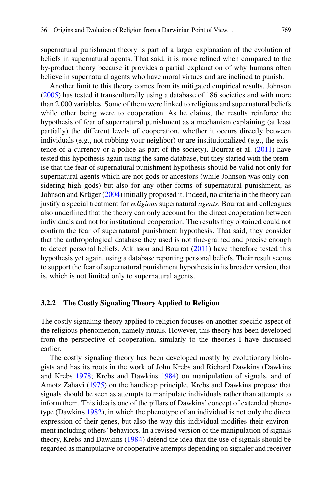supernatural punishment theory is part of a larger explanation of the evolution of beliefs in supernatural agents. That said, it is more refined when compared to the by-product theory because it provides a partial explanation of why humans often believe in supernatural agents who have moral virtues and are inclined to punish.

 Another limit to this theory comes from its mitigated empirical results. Johnson ( 2005 ) has tested it transculturally using a database of 186 societies and with more than 2,000 variables. Some of them were linked to religious and supernatural beliefs while other being were to cooperation. As he claims, the results reinforce the hypothesis of fear of supernatural punishment as a mechanism explaining (at least partially) the different levels of cooperation, whether it occurs directly between individuals (e.g., not robbing your neighbor) or are institutionalized (e.g., the existence of a currency or a police as part of the society). Bourrat et al.  $(2011)$  have tested this hypothesis again using the same database, but they started with the premise that the fear of supernatural punishment hypothesis should be valid not only for supernatural agents which are not gods or ancestors (while Johnson was only considering high gods) but also for any other forms of supernatural punishment, as Johnson and Krüger (2004) initially proposed it. Indeed, no criteria in the theory can justify a special treatment for *religious* supernatural *agents* . Bourrat and colleagues also underlined that the theory can only account for the direct cooperation between individuals and not for institutional cooperation. The results they obtained could not confirm the fear of supernatural punishment hypothesis. That said, they consider that the anthropological database they used is not fine-grained and precise enough to detect personal beliefs. Atkinson and Bourrat  $(2011)$  have therefore tested this hypothesis yet again, using a database reporting personal beliefs. Their result seems to support the fear of supernatural punishment hypothesis in its broader version, that is, which is not limited only to supernatural agents.

#### **3.2.2 The Costly Signaling Theory Applied to Religion**

The costly signaling theory applied to religion focuses on another specific aspect of the religious phenomenon, namely rituals. However, this theory has been developed from the perspective of cooperation, similarly to the theories I have discussed earlier.

 The costly signaling theory has been developed mostly by evolutionary biologists and has its roots in the work of John Krebs and Richard Dawkins (Dawkins and Krebs 1978; Krebs and Dawkins 1984) on manipulation of signals, and of Amotz Zahavi ( 1975 ) on the handicap principle. Krebs and Dawkins propose that signals should be seen as attempts to manipulate individuals rather than attempts to inform them. This idea is one of the pillars of Dawkins' concept of extended phenotype (Dawkins 1982 ), in which the phenotype of an individual is not only the direct expression of their genes, but also the way this individual modifies their environment including others' behaviors. In a revised version of the manipulation of signals theory, Krebs and Dawkins (1984) defend the idea that the use of signals should be regarded as manipulative or cooperative attempts depending on signaler and receiver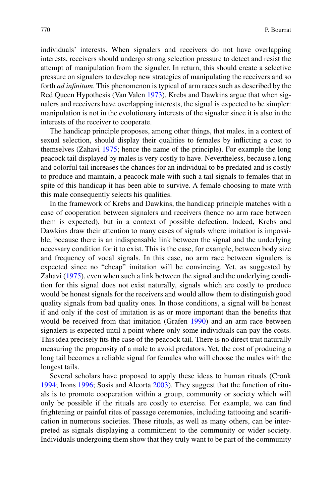individuals' interests. When signalers and receivers do not have overlapping interests, receivers should undergo strong selection pressure to detect and resist the attempt of manipulation from the signaler. In return, this should create a selective pressure on signalers to develop new strategies of manipulating the receivers and so forth *ad infinitum*. This phenomenon is typical of arm races such as described by the Red Queen Hypothesis (Van Valen 1973). Krebs and Dawkins argue that when signalers and receivers have overlapping interests, the signal is expected to be simpler: manipulation is not in the evolutionary interests of the signaler since it is also in the interests of the receiver to cooperate.

 The handicap principle proposes, among other things, that males, in a context of sexual selection, should display their qualities to females by inflicting a cost to themselves (Zahavi 1975; hence the name of the principle). For example the long peacock tail displayed by males is very costly to have. Nevertheless, because a long and colorful tail increases the chances for an individual to be predated and is costly to produce and maintain, a peacock male with such a tail signals to females that in spite of this handicap it has been able to survive. A female choosing to mate with this male consequently selects his qualities.

 In the framework of Krebs and Dawkins, the handicap principle matches with a case of cooperation between signalers and receivers (hence no arm race between them is expected), but in a context of possible defection. Indeed, Krebs and Dawkins draw their attention to many cases of signals where imitation is impossible, because there is an indispensable link between the signal and the underlying necessary condition for it to exist. This is the case, for example, between body size and frequency of vocal signals. In this case, no arm race between signalers is expected since no "cheap" imitation will be convincing. Yet, as suggested by Zahavi (1975), even when such a link between the signal and the underlying condition for this signal does not exist naturally, signals which are costly to produce would be honest signals for the receivers and would allow them to distinguish good quality signals from bad quality ones. In those conditions, a signal will be honest if and only if the cost of imitation is as or more important than the benefits that would be received from that imitation (Grafen 1990) and an arm race between signalers is expected until a point where only some individuals can pay the costs. This idea precisely fits the case of the peacock tail. There is no direct trait naturally measuring the propensity of a male to avoid predators. Yet, the cost of producing a long tail becomes a reliable signal for females who will choose the males with the longest tails.

 Several scholars have proposed to apply these ideas to human rituals (Cronk 1994; Irons 1996; Sosis and Alcorta 2003). They suggest that the function of rituals is to promote cooperation within a group, community or society which will only be possible if the rituals are costly to exercise. For example, we can find frightening or painful rites of passage ceremonies, including tattooing and scarifi cation in numerous societies. These rituals, as well as many others, can be interpreted as signals displaying a commitment to the community or wider society. Individuals undergoing them show that they truly want to be part of the community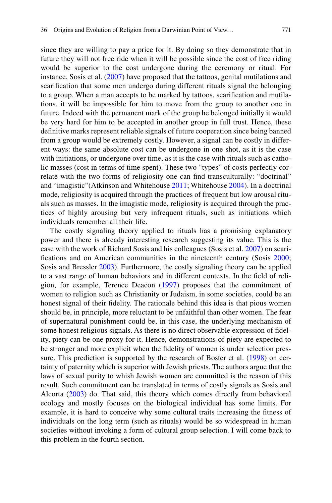since they are willing to pay a price for it. By doing so they demonstrate that in future they will not free ride when it will be possible since the cost of free riding would be superior to the cost undergone during the ceremony or ritual. For instance, Sosis et al.  $(2007)$  have proposed that the tattoos, genital mutilations and scarification that some men undergo during different rituals signal the belonging to a group. When a man accepts to be marked by tattoos, scarification and mutilations, it will be impossible for him to move from the group to another one in future. Indeed with the permanent mark of the group he belonged initially it would be very hard for him to be accepted in another group in full trust. Hence, these definitive marks represent reliable signals of future cooperation since being banned from a group would be extremely costly. However, a signal can be costly in different ways: the same absolute cost can be undergone in one shot, as it is the case with initiations, or undergone over time, as it is the case with rituals such as catholic masses (cost in terms of time spent). These two "types" of costs perfectly correlate with the two forms of religiosity one can find transculturally: "doctrinal" and "imagistic"(Atkinson and Whitehouse 2011; Whitehouse 2004). In a doctrinal mode, religiosity is acquired through the practices of frequent but low arousal rituals such as masses. In the imagistic mode, religiosity is acquired through the practices of highly arousing but very infrequent rituals, such as initiations which individuals remember all their life.

 The costly signaling theory applied to rituals has a promising explanatory power and there is already interesting research suggesting its value. This is the case with the work of Richard Sosis and his colleagues (Sosis et al. 2007 ) on scarifications and on American communities in the nineteenth century (Sosis 2000; Sosis and Bressler 2003 ). Furthermore, the costly signaling theory can be applied to a vast range of human behaviors and in different contexts. In the field of religion, for example, Terence Deacon (1997) proposes that the commitment of women to religion such as Christianity or Judaism, in some societies, could be an honest signal of their fidelity. The rationale behind this idea is that pious women should be, in principle, more reluctant to be unfaithful than other women. The fear of supernatural punishment could be, in this case, the underlying mechanism of some honest religious signals. As there is no direct observable expression of fidelity, piety can be one proxy for it. Hence, demonstrations of piety are expected to be stronger and more explicit when the fidelity of women is under selection pressure. This prediction is supported by the research of Boster et al. (1998) on certainty of paternity which is superior with Jewish priests. The authors argue that the laws of sexual purity to whish Jewish women are committed is the reason of this result. Such commitment can be translated in terms of costly signals as Sosis and Alcorta  $(2003)$  do. That said, this theory which comes directly from behavioral ecology and mostly focuses on the biological individual has some limits. For example, it is hard to conceive why some cultural traits increasing the fitness of individuals on the long term (such as rituals) would be so widespread in human societies without invoking a form of cultural group selection. I will come back to this problem in the fourth section.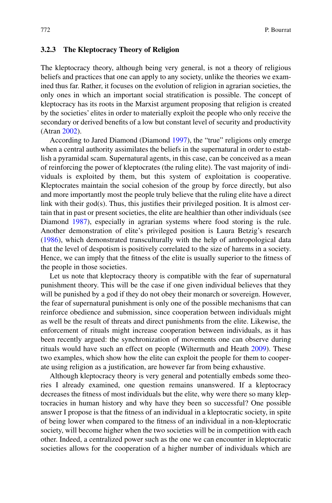#### **3.2.3 The Kleptocracy Theory of Religion**

 The kleptocracy theory, although being very general, is not a theory of religious beliefs and practices that one can apply to any society, unlike the theories we examined thus far. Rather, it focuses on the evolution of religion in agrarian societies, the only ones in which an important social stratification is possible. The concept of kleptocracy has its roots in the Marxist argument proposing that religion is created by the societies' elites in order to materially exploit the people who only receive the secondary or derived benefits of a low but constant level of security and productivity  $(Atran 2002)$ .

According to Jared Diamond (Diamond 1997), the "true" religions only emerge when a central authority assimilates the beliefs in the supernatural in order to establish a pyramidal scam. Supernatural agents, in this case, can be conceived as a mean of reinforcing the power of kleptocrates (the ruling elite). The vast majority of individuals is exploited by them, but this system of exploitation is cooperative. Kleptocrates maintain the social cohesion of the group by force directly, but also and more importantly most the people truly believe that the ruling elite have a direct link with their god(s). Thus, this justifies their privileged position. It is almost certain that in past or present societies, the elite are healthier than other individuals (see Diamond 1987), especially in agrarian systems where food storing is the rule. Another demonstration of elite's privileged position is Laura Betzig's research  $(1986)$ , which demonstrated transculturally with the help of anthropological data that the level of despotism is positively correlated to the size of harems in a society. Hence, we can imply that the fitness of the elite is usually superior to the fitness of the people in those societies.

 Let us note that kleptocracy theory is compatible with the fear of supernatural punishment theory. This will be the case if one given individual believes that they will be punished by a god if they do not obey their monarch or sovereign. However, the fear of supernatural punishment is only one of the possible mechanisms that can reinforce obedience and submission, since cooperation between individuals might as well be the result of threats and direct punishments from the elite. Likewise, the enforcement of rituals might increase cooperation between individuals, as it has been recently argued: the synchronization of movements one can observe during rituals would have such an effect on people (Wiltermuth and Heath 2009). These two examples, which show how the elite can exploit the people for them to cooperate using religion as a justification, are however far from being exhaustive.

 Although kleptocracy theory is very general and potentially embeds some theories I already examined, one question remains unanswered. If a kleptocracy decreases the fitness of most individuals but the elite, why were there so many kleptocracies in human history and why have they been so successful? One possible answer I propose is that the fitness of an individual in a kleptocratic society, in spite of being lower when compared to the fitness of an individual in a non-kleptocratic society, will become higher when the two societies will be in competition with each other. Indeed, a centralized power such as the one we can encounter in kleptocratic societies allows for the cooperation of a higher number of individuals which are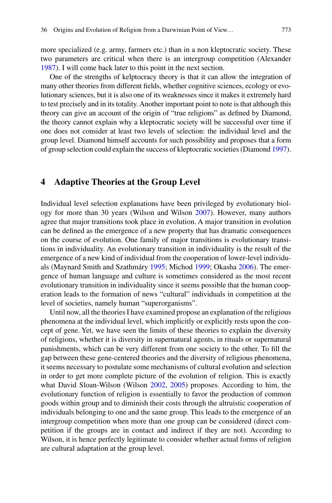more specialized (e.g. army, farmers etc.) than in a non kleptocratic society. These two parameters are critical when there is an intergroup competition (Alexander 1987 ). I will come back later to this point in the next section.

 One of the strengths of kelptocracy theory is that it can allow the integration of many other theories from different fields, whether cognitive sciences, ecology or evolutionary sciences, but it is also one of its weaknesses since it makes it extremely hard to test precisely and in its totality. Another important point to note is that although this theory can give an account of the origin of "true religions" as defined by Diamond, the theory cannot explain why a kleptocratic society will be successful over time if one does not consider at least two levels of selection: the individual level and the group level. Diamond himself accounts for such possibility and proposes that a form of group selection could explain the success of kleptocratic societies (Diamond 1997 ).

### **4 Adaptive Theories at the Group Level**

 Individual level selection explanations have been privileged by evolutionary biology for more than 30 years (Wilson and Wilson 2007). However, many authors agree that major transitions took place in evolution. A major transition in evolution can be defined as the emergence of a new property that has dramatic consequences on the course of evolution. One family of major transitions is evolutionary transitions in individuality. An evolutionary transition in individuality is the result of the emergence of a new kind of individual from the cooperation of lower- level individuals (Maynard Smith and Szathmáry 1995 ; Michod 1999 ; Okasha 2006 ). The emergence of human language and culture is sometimes considered as the most recent evolutionary transition in individuality since it seems possible that the human cooperation leads to the formation of news "cultural" individuals in competition at the level of societies, namely human "superorganisms".

 Until now, all the theories I have examined propose an explanation of the religious phenomena at the individual level, which implicitly or explicitly rests upon the concept of gene. Yet, we have seen the limits of these theories to explain the diversity of religions, whether it is diversity in supernatural agents, in rituals or supernatural punishments, which can be very different from one society to the other. To fill the gap between these gene-centered theories and the diversity of religious phenomena, it seems necessary to postulate some mechanisms of cultural evolution and selection in order to get more complete picture of the evolution of religion. This is exactly what David Sloan-Wilson (Wilson 2002, 2005) proposes. According to him, the evolutionary function of religion is essentially to favor the production of common goods within group and to diminish their costs through the altruistic cooperation of individuals belonging to one and the same group. This leads to the emergence of an intergroup competition when more than one group can be considered (direct competition if the groups are in contact and indirect if they are not). According to Wilson, it is hence perfectly legitimate to consider whether actual forms of religion are cultural adaptation at the group level.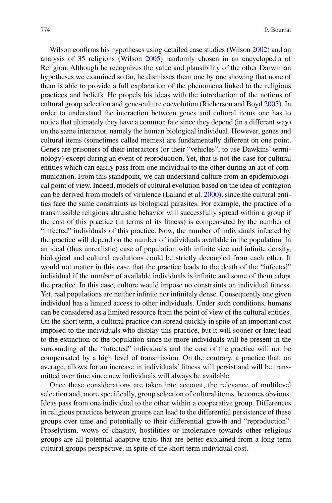Wilson confirms his hypotheses using detailed case studies (Wilson 2002) and an analysis of 35 religions (Wilson 2005) randomly chosen in an encyclopedia of Religion. Although he recognizes the value and plausibility of the other Darwinian hypotheses we examined so far, he dismisses them one by one showing that none of them is able to provide a full explanation of the phenomena linked to the religious practices and beliefs. He propels his ideas with the introduction of the notions of cultural group selection and gene-culture coevolution (Richerson and Boyd 2005 ). In order to understand the interaction between genes and cultural items one has to notice that ultimately they have a common fate since they depend (in a different way) on the same interactor, namely the human biological individual. However, genes and cultural items (sometimes called memes) are fundamentally different on one point. Genes are prisoners of their interactors (or their "vehicles", to use Dawkins' terminology) except during an event of reproduction. Yet, that is not the case for cultural entities which can easily pass from one individual to the other during an act of communication. From this standpoint, we can understand culture from an epidemiological point of view. Indeed, models of cultural evolution based on the idea of contagion can be derived from models of virulence (Laland et al. 2000), since the cultural entities face the same constraints as biological parasites. For example, the practice of a transmissible religious altruistic behavior will successfully spread within a group if the cost of this practice (in terms of its fitness) is compensated by the number of "infected" individuals of this practice. Now, the number of individuals infected by the practice will depend on the number of individuals available in the population. In an ideal (thus unrealistic) case of population with infinite size and infinite density, biological and cultural evolutions could be strictly decoupled from each other. It would not matter in this case that the practice leads to the death of the "infected" individual if the number of available individuals is infinite and some of them adopt the practice. In this case, culture would impose no constraints on individual fitness. Yet, real populations are neither infinite nor infinitely dense. Consequently one given individual has a limited access to other individuals. Under such conditions, humans can be considered as a limited resource from the point of view of the cultural entities. On the short term, a cultural practice can spread quickly in spite of an important cost imposed to the individuals who display this practice, but it will sooner or later lead to the extinction of the population since no more individuals will be present in the surrounding of the "infected" individuals and the cost of the practice will not be compensated by a high level of transmission. On the contrary, a practice that, on average, allows for an increase in individuals' fitness will persist and will be transmitted over time since new individuals will always be available.

 Once these considerations are taken into account, the relevance of multilevel selection and, more specifically, group selection of cultural items, becomes obvious. Ideas pass from one individual to the other within a cooperative group. Differences in religious practices between groups can lead to the differential persistence of these groups over time and potentially to their differential growth and "reproduction". Proselytism, wows of chastity, hostilities or intolerance towards other religious groups are all potential adaptive traits that are better explained from a long term cultural groups perspective, in spite of the short term individual cost.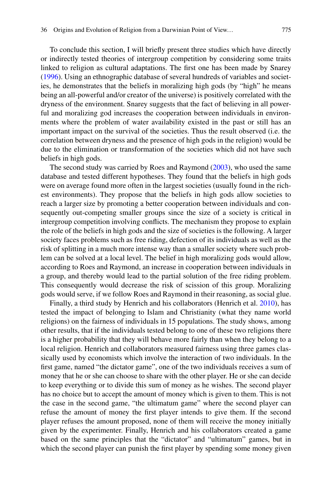To conclude this section, I will briefly present three studies which have directly or indirectly tested theories of intergroup competition by considering some traits linked to religion as cultural adaptations. The first one has been made by Snarey ( 1996 ). Using an ethnographic database of several hundreds of variables and societies, he demonstrates that the beliefs in moralizing high gods (by "high" he means being an all-powerful and/or creator of the universe) is positively correlated with the dryness of the environment. Snarey suggests that the fact of believing in all powerful and moralizing god increases the cooperation between individuals in environments where the problem of water availability existed in the past or still has an important impact on the survival of the societies. Thus the result observed (i.e. the correlation between dryness and the presence of high gods in the religion) would be due to the elimination or transformation of the societies which did not have such beliefs in high gods.

The second study was carried by Roes and Raymond (2003), who used the same database and tested different hypotheses. They found that the beliefs in high gods were on average found more often in the largest societies (usually found in the richest environments). They propose that the beliefs in high gods allow societies to reach a larger size by promoting a better cooperation between individuals and consequently out-competing smaller groups since the size of a society is critical in intergroup competition involving conflicts. The mechanism they propose to explain the role of the beliefs in high gods and the size of societies is the following. A larger society faces problems such as free riding, defection of its individuals as well as the risk of splitting in a much more intense way than a smaller society where such problem can be solved at a local level. The belief in high moralizing gods would allow, according to Roes and Raymond, an increase in cooperation between individuals in a group, and thereby would lead to the partial solution of the free riding problem. This consequently would decrease the risk of scission of this group. Moralizing gods would serve, if we follow Roes and Raymond in their reasoning, as social glue.

Finally, a third study by Henrich and his collaborators (Henrich et al. 2010), has tested the impact of belonging to Islam and Christianity (what they name world religions) on the fairness of individuals in 15 populations. The study shows, among other results, that if the individuals tested belong to one of these two religions there is a higher probability that they will behave more fairly than when they belong to a local religion. Henrich and collaborators measured fairness using three games classically used by economists which involve the interaction of two individuals. In the first game, named "the dictator game", one of the two individuals receives a sum of money that he or she can choose to share with the other player. He or she can decide to keep everything or to divide this sum of money as he wishes. The second player has no choice but to accept the amount of money which is given to them. This is not the case in the second game, "the ultimatum game" where the second player can refuse the amount of money the first player intends to give them. If the second player refuses the amount proposed, none of them will receive the money initially given by the experimenter. Finally, Henrich and his collaborators created a game based on the same principles that the "dictator" and "ultimatum" games, but in which the second player can punish the first player by spending some money given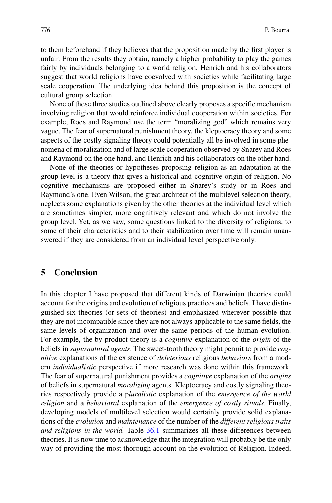to them beforehand if they believes that the proposition made by the first player is unfair. From the results they obtain, namely a higher probability to play the games fairly by individuals belonging to a world religion, Henrich and his collaborators suggest that world religions have coevolved with societies while facilitating large scale cooperation. The underlying idea behind this proposition is the concept of cultural group selection.

None of these three studies outlined above clearly proposes a specific mechanism involving religion that would reinforce individual cooperation within societies. For example, Roes and Raymond use the term "moralizing god" which remains very vague. The fear of supernatural punishment theory, the kleptocracy theory and some aspects of the costly signaling theory could potentially all be involved in some phenomena of moralization and of large scale cooperation observed by Snarey and Roes and Raymond on the one hand, and Henrich and his collaborators on the other hand.

 None of the theories or hypotheses proposing religion as an adaptation at the group level is a theory that gives a historical and cognitive origin of religion. No cognitive mechanisms are proposed either in Snarey's study or in Roes and Raymond's one. Even Wilson, the great architect of the multilevel selection theory, neglects some explanations given by the other theories at the individual level which are sometimes simpler, more cognitively relevant and which do not involve the group level. Yet, as we saw, some questions linked to the diversity of religions, to some of their characteristics and to their stabilization over time will remain unanswered if they are considered from an individual level perspective only.

### **5 Conclusion**

 In this chapter I have proposed that different kinds of Darwinian theories could account for the origins and evolution of religious practices and beliefs. I have distinguished six theories (or sets of theories) and emphasized wherever possible that they are not incompatible since they are not always applicable to the same fields, the same levels of organization and over the same periods of the human evolution. For example, the by-product theory is a *cognitive* explanation of the *origin* of the beliefs in *supernatural agents* . The sweet-tooth theory might permit to provide *cognitive* explanations of the existence of *deleterious* religious *behaviors* from a modern *individualistic* perspective if more research was done within this framework. The fear of supernatural punishment provides a *cognitive* explanation of the *origins* of beliefs in supernatural *moralizing* agents. Kleptocracy and costly signaling theories respectively provide a pluralistic explanation of the *emergence of the world religion* and a *behavioral* explanation of the *emergence of costly rituals* . Finally, developing models of multilevel selection would certainly provide solid explanations of the *evolution* and *maintenance* of the number of the *different religious traits and religions in the world.* Table 36.1 summarizes all these differences between theories. It is now time to acknowledge that the integration will probably be the only way of providing the most thorough account on the evolution of Religion. Indeed,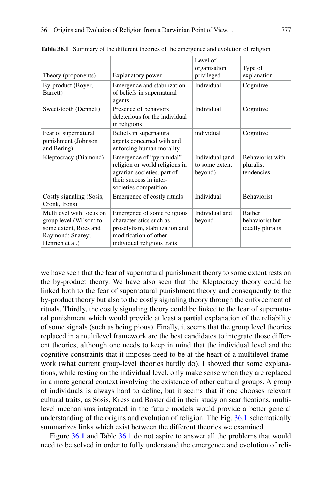|                                                                                                                     |                                                                                                                                                  | Level of<br>organisation                     | Type of                                        |
|---------------------------------------------------------------------------------------------------------------------|--------------------------------------------------------------------------------------------------------------------------------------------------|----------------------------------------------|------------------------------------------------|
| Theory (proponents)                                                                                                 | <b>Explanatory power</b>                                                                                                                         | privileged                                   | explanation                                    |
| By-product (Boyer,<br>Barrett)                                                                                      | Emergence and stabilization<br>of beliefs in supernatural<br>agents                                                                              | Individual                                   | Cognitive                                      |
| Sweet-tooth (Dennett)                                                                                               | Presence of behaviors<br>deleterious for the individual<br>in religions                                                                          | Individual                                   | Cognitive                                      |
| Fear of supernatural<br>punishment (Johnson<br>and Bering)                                                          | Beliefs in supernatural<br>agents concerned with and<br>enforcing human morality                                                                 | individual                                   | Cognitive                                      |
| Kleptocracy (Diamond)                                                                                               | Emergence of "pyramidal"<br>religion or world religions in<br>agrarian societies, part of<br>their success in inter-<br>societies competition    | Individual (and<br>to some extent<br>beyond) | Behaviorist with<br>pluralist<br>tendencies    |
| Costly signaling (Sosis,<br>Cronk, Irons)                                                                           | Emergence of costly rituals                                                                                                                      | Individual                                   | Behaviorist                                    |
| Multilevel with focus on<br>group level (Wilson; to<br>some extent, Roes and<br>Raymond; Snarey;<br>Henrich et al.) | Emergence of some religious<br>characteristics such as<br>proselytism, stabilization and<br>modification of other<br>individual religious traits | Individual and<br>beyond                     | Rather<br>behaviorist but<br>ideally pluralist |

 **Table 36.1** Summary of the different theories of the emergence and evolution of religion

we have seen that the fear of supernatural punishment theory to some extent rests on the by- product theory. We have also seen that the Kleptocracy theory could be linked both to the fear of supernatural punishment theory and consequently to the by-product theory but also to the costly signaling theory through the enforcement of rituals. Thirdly, the costly signaling theory could be linked to the fear of supernatural punishment which would provide at least a partial explanation of the reliability of some signals (such as being pious). Finally, it seems that the group level theories replaced in a multilevel framework are the best candidates to integrate those different theories, although one needs to keep in mind that the individual level and the cognitive constraints that it imposes need to be at the heart of a multilevel framework (what current group-level theories hardly do). I showed that some explanations, while resting on the individual level, only make sense when they are replaced in a more general context involving the existence of other cultural groups. A group of individuals is always hard to define, but it seems that if one chooses relevant cultural traits, as Sosis, Kress and Boster did in their study on scarifications, multilevel mechanisms integrated in the future models would provide a better general understanding of the origins and evolution of religion. The Fig. 36.1 schematically summarizes links which exist between the different theories we examined.

Figure 36.1 and Table 36.1 do not aspire to answer all the problems that would need to be solved in order to fully understand the emergence and evolution of reli-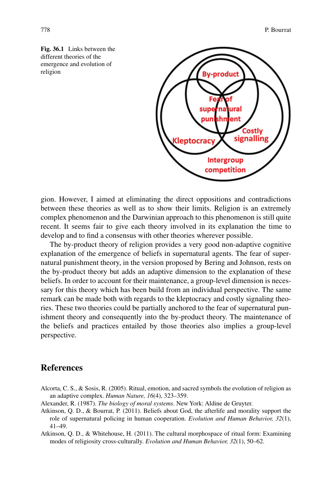



gion. However, I aimed at eliminating the direct oppositions and contradictions between these theories as well as to show their limits. Religion is an extremely complex phenomenon and the Darwinian approach to this phenomenon is still quite recent. It seems fair to give each theory involved in its explanation the time to develop and to find a consensus with other theories wherever possible.

 The by-product theory of religion provides a very good non-adaptive cognitive explanation of the emergence of beliefs in supernatural agents. The fear of supernatural punishment theory, in the version proposed by Bering and Johnson, rests on the by-product theory but adds an adaptive dimension to the explanation of these beliefs. In order to account for their maintenance, a group-level dimension is necessary for this theory which has been build from an individual perspective. The same remark can be made both with regards to the kleptocracy and costly signaling theories. These two theories could be partially anchored to the fear of supernatural punishment theory and consequently into the by-product theory. The maintenance of the beliefs and practices entailed by those theories also implies a group-level perspective.

# **References**

- Alcorta, C. S., & Sosis, R. (2005). Ritual, emotion, and sacred symbols the evolution of religion as an adaptive complex. *Human Nature, 16* (4), 323–359.
- Alexander, R. (1987). *The biology of moral systems* . New York: Aldine de Gruyter.
- Atkinson, Q. D., & Bourrat, P. (2011). Beliefs about God, the afterlife and morality support the role of supernatural policing in human cooperation. *Evolution and Human Behavior, 32* (1), 41–49.
- Atkinson, Q. D., & Whitehouse, H. (2011). The cultural morphospace of ritual form: Examining modes of religiosity cross-culturally. *Evolution and Human Behavior, 32* (1), 50–62.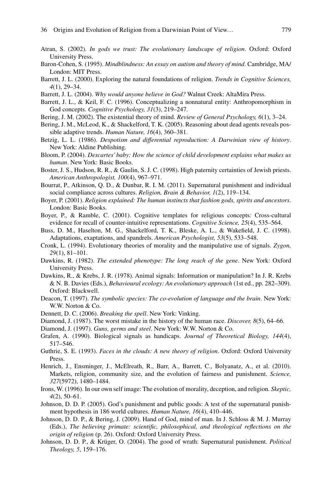- Atran, S. (2002). *In gods we trust: The evolutionary landscape of religion* . Oxford: Oxford University Press.
- Baron-Cohen, S. (1995). *Mindblindness: An essay on autism and theory of mind* . Cambridge, MA/ London: MIT Press.
- Barrett, J. L. (2000). Exploring the natural foundations of religion. *Trends in Cognitive Sciences, 4* (1), 29–34.
- Barrett, J. L. (2004). *Why would anyone believe in God?* Walnut Creek: AltaMira Press.
- Barrett, J. L., & Keil, F. C. (1996). Conceptualizing a nonnatural entity: Anthropomorphism in God concepts. *Cognitive Psychology, 31*(3), 219-247.
- Bering, J. M. (2002). The existential theory of mind. *Review of General Psychology, 6* (1), 3–24.
- Bering, J. M., McLeod, K., & Shackelford, T. K. (2005). Reasoning about dead agents reveals possible adaptive trends. *Human Nature, 16* (4), 360–381.
- Betzig, L. L. (1986). *Despotism and differential reproduction: A Darwinian view of history* . New York: Aldine Publishing.
- Bloom, P. (2004). *Descartes' baby: How the science of child development explains what makes us human* . New York: Basic Books.
- Boster, J. S., Hudson, R. R., & Gaulin, S. J. C. (1998). High paternity certainties of Jewish priests. *American Anthropologist, 100* (4), 967–971.
- Bourrat, P., Atkinson, Q. D., & Dunbar, R. I. M. (2011). Supernatural punishment and individual social compliance across cultures. *Religion, Brain & Behavior, 1*(2), 119–134.
- Boyer, P. (2001). *Religion explained: The human instincts that fashion gods, spirits and ancestors* . London: Basic Books.
- Boyer, P., & Ramble, C. (2001). Cognitive templates for religious concepts: Cross-cultural evidence for recall of counter-intuitive representations. *Cognitive Science*, 25(4), 535-564.
- Buss, D. M., Haselton, M. G., Shackelford, T. K., Bleske, A. L., & Wakefield, J. C. (1998). Adaptations, exaptations, and spandrels. *American Psychologist, 53* (5), 533–548.
- Cronk, L. (1994). Evolutionary theories of morality and the manipulative use of signals. *Zygon, 29* (1), 81–101.
- Dawkins, R. (1982). *The extended phenotype: The long reach of the gene* . New York: Oxford University Press.
- Dawkins, R., & Krebs, J. R. (1978). Animal signals: Information or manipulation? In J. R. Krebs & N. B. Davies (Eds.), *Behavioural ecology: An evolutionary approach* (1st ed., pp. 282–309). Oxford: Blackwell.
- Deacon, T. (1997). *The symbolic species: The co-evolution of language and the brain* . New York: W.W. Norton & Co.
- Dennett, D. C. (2006). *Breaking the spell* . New York: Vinking.
- Diamond, J. (1987). The worst mistake in the history of the human race. *Discover, 8* (5), 64–66.
- Diamond, J. (1997). *Guns, germs and steel* . New York: W.W. Norton & Co.
- Grafen, A. (1990). Biological signals as handicaps. *Journal of Theoretical Biology, 144*(4), 517–546.
- Guthrie, S. E. (1993). *Faces in the clouds: A new theory of religion* . Oxford: Oxford University Press.
- Henrich, J., Ensminger, J., McElreath, R., Barr, A., Barrett, C., Bolyanatz, A., et al. (2010). Markets, religion, community size, and the evolution of fairness and punishment. *Science, 327* (5972), 1480–1484.
- Irons, W. (1996). In our own self image: The evolution of morality, deception, and religion. *Skeptic, 4* (2), 50–61.
- Johnson, D. D. P. (2005). God's punishment and public goods: A test of the supernatural punishment hypothesis in 186 world cultures. *Human Nature, 16* (4), 410–446.
- Johnson, D. D. P., & Bering, J. (2009). Hand of God, mind of man. In J. Schloss & M. J. Murray (Eds.), *The believing primate: scientific, philosophical, and theological reflections on the origin of religion* (p. 26). Oxford: Oxford University Press.
- Johnson, D. D. P., & Krüger, O. (2004). The good of wrath: Supernatural punishment. *Political Theology, 5* , 159–176.